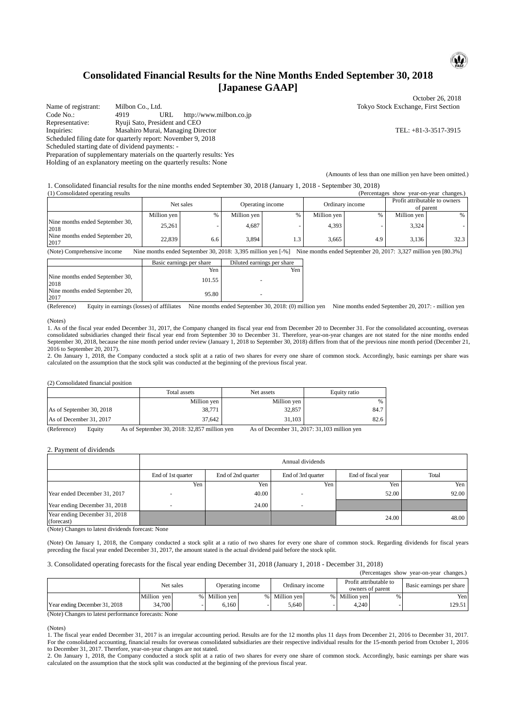## **Consolidated Financial Results for the Nine Months Ended September 30, 2018 [Japanese GAAP]**

Name of registrant: Milbon Co., Ltd. (Name of registrant: Milbon Co., Ltd. Tokyo Stock Exchange, First Section<br>
Code No.: 4919 URL http://www.milbon.co.ip http://www.milbon.co.jp Representative: Ryuji Sato, President and CEO Inquiries: Masahiro Murai, Managing Director TEL: +81-3-3517-3915 Scheduled filing date for quarterly report: November 9, 2018 Scheduled starting date of dividend payments: - Preparation of supplementary materials on the quarterly results: Yes

Holding of an explanatory meeting on the quarterly results: None

October 26, 2018

(Amounts of less than one million yen have been omitted.)

1. Consolidated financial results for the nine months ended September 30, 2018 (January 1, 2018 - September 30, 2018) (1) Consolidated operating results (Percentages show year-on-year changes.)

| (1) Consonuated obciating results<br>u ciccinages show<br>vcar-on-vcar changes. |             |     |                  |     |                 |     |                                            |      |
|---------------------------------------------------------------------------------|-------------|-----|------------------|-----|-----------------|-----|--------------------------------------------|------|
|                                                                                 | Net sales   |     | Operating income |     | Ordinary income |     | Profit attributable to owners<br>of parent |      |
|                                                                                 | Million yen | %   | Million yen      |     | Million yen     | 0/2 | Million ven                                | %    |
| Nine months ended September 30,<br>2018                                         | 25,261      |     | 4.687            |     | 4.393           |     | 3.324                                      |      |
| Nine months ended September 20,<br>2017                                         | 22,839      | 6.6 | 3,894            | 1.3 | 3,665           | 4.9 | 3.136                                      | 32.3 |

(Note) Comprehensive income Nine months ended September 30, 2018: 3,395 million yen [-%] Nine months ended September 20, 2017: 3,327 million yen [80.3%]

|                                         | Basic earnings per share | Diluted earnings per share |
|-----------------------------------------|--------------------------|----------------------------|
|                                         | Yen                      | Yen                        |
| Nine months ended September 30,<br>2018 | 101.55                   | $\overline{\phantom{a}}$   |
| Nine months ended September 20,<br>2017 | 95.80                    | ٠                          |

(Reference) Equity in earnings (losses) of affiliates Nine months ended September 30, 2018: (0) million yen Nine months ended September 20, 2017: - million yen

#### (Notes)

1. As of the fiscal year ended December 31, 2017, the Company changed its fiscal year end from December 20 to December 31. For the consolidated accounting, overseas consolidated subsidiaries changed their fiscal year end from September 30 to December 31. Therefore, year-on-year changes are not stated for the nine months ended September 30, 2018, because the nine month period under review (January 1, 2018 to September 30, 2018) differs from that of the previous nine month period (December 21, 2016 to September 20, 2017).

2. On January 1, 2018, the Company conducted a stock split at a ratio of two shares for every one share of common stock. Accordingly, basic earnings per share was calculated on the assumption that the stock split was conducted at the beginning of the previous fiscal year.

(2) Consolidated financial position

|                                                                                                               | Total assets | Net assets  | Equity ratio |  |  |  |
|---------------------------------------------------------------------------------------------------------------|--------------|-------------|--------------|--|--|--|
|                                                                                                               | Million yen  | Million yen | %            |  |  |  |
| As of September 30, 2018                                                                                      | 38.771       | 32.857      | 84.7         |  |  |  |
| As of December 31, 2017                                                                                       | 37.642       | 31.103      | 82.6         |  |  |  |
| $(D_1, D_2, \ldots, D_n)$<br>$A = -4.75$ , , $A = -21.7017$ , $21.102$ $$ $111$ , $$<br>$\Gamma$ and $\Gamma$ |              |             |              |  |  |  |

(Reference) Equity As of September 30, 2018: 32,857 million yen As of December 31, 2017: 31,103 million yen

2. Payment of dividends

|                                                                                     | Annual dividends   |                    |                    |                    |       |  |  |  |
|-------------------------------------------------------------------------------------|--------------------|--------------------|--------------------|--------------------|-------|--|--|--|
|                                                                                     | End of 1st quarter | End of 2nd quarter | End of 3rd quarter | End of fiscal year | Total |  |  |  |
|                                                                                     | Yen                | Yen                | Yen                | Yen.               | Yen   |  |  |  |
| Year ended December 31, 2017                                                        |                    | 40.00              |                    | 52.00              | 92.00 |  |  |  |
| Year ending December 31, 2018                                                       |                    | 24.00              |                    |                    |       |  |  |  |
| Year ending December 31, 2018<br>(forecast)<br>$\Delta x \rightarrow \Delta t$<br>. | $\cdots$           |                    |                    | 24.00              | 48.00 |  |  |  |

(Note) Changes to latest dividends forecast: None

(Note) On January 1, 2018, the Company conducted a stock split at a ratio of two shares for every one share of common stock. Regarding dividends for fiscal years preceding the fiscal year ended December 31, 2017, the amount stated is the actual dividend paid before the stock split.

#### 3. Consolidated operating forecasts for the fiscal year ending December 31, 2018 (January 1, 2018 - December 31, 2018)

| (Percentages show year-on-year changes.)                                                                            |             |  |                  |  |                 |  |                                            |   |                          |
|---------------------------------------------------------------------------------------------------------------------|-------------|--|------------------|--|-----------------|--|--------------------------------------------|---|--------------------------|
|                                                                                                                     | Net sales   |  | Operating income |  | Ordinary income |  | Profit attributable to<br>owners of parent |   | Basic earnings per share |
|                                                                                                                     | Million ven |  | % Million ven    |  | Million ven     |  | % Million ven                              | % | Yenl                     |
| Year ending December 31, 2018                                                                                       | 34,700      |  | 6.160            |  | 5.640           |  | 4.240                                      |   | 129.51 l                 |
| $\Delta t$ and $\Delta t$ and $\Delta t$ are the set of the subsequence of $\Delta t$ and $\Delta t$ and $\Delta t$ |             |  |                  |  |                 |  |                                            |   |                          |

(Note) Changes to latest performance forecasts: None

1. The fiscal year ended December 31, 2017 is an irregular accounting period. Results are for the 12 months plus 11 days from December 21, 2016 to December 31, 2017. For the consolidated accounting, financial results for overseas consolidated subsidiaries are their respective individual results for the 15-month period from October 1, 2016 to December 31, 2017. Therefore, year-on-year changes are not stated.

2. On January 1, 2018, the Company conducted a stock split at a ratio of two shares for every one share of common stock. Accordingly, basic earnings per share was calculated on the assumption that the stock split was conducted at the beginning of the previous fiscal year.



<sup>(</sup>Notes)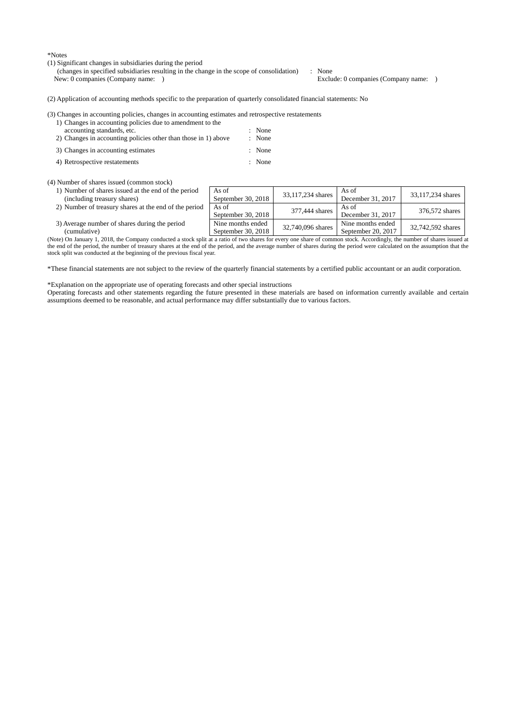\*Notes

(1) Significant changes in subsidiaries during the period

(changes in specified subsidiaries resulting in the change in the scope of consolidation) : None Exclude: 0 companies (Company name: )

(2) Application of accounting methods specific to the preparation of quarterly consolidated financial statements: No

(3) Changes in accounting policies, changes in accounting estimates and retrospective restatements

| 1) Changes in accounting policies due to amendment to the      |          |
|----------------------------------------------------------------|----------|
| accounting standards, etc.                                     | : None   |
| 2) Changes in accounting policies other than those in 1) above | : None   |
| 3) Changes in accounting estimates                             | $:$ None |

4) Retrospective restatements : None

(4) Number of shares issued (common stock)

- 1) Number of shares issued at the end of the period (including treasury shares)
- 2) Number of treasury shares at the end of the period  $\overline{A}$  As of
- 3) Average number of shares during the period (cumulative)

| сеннитан уст                                                                                                                                                                 | $\sigma$ dedictituel 30. $\Delta$ 010 | $\Omega$ concilidei 20. 2017 |  |
|------------------------------------------------------------------------------------------------------------------------------------------------------------------------------|---------------------------------------|------------------------------|--|
| (Note) On January 1, 2018, the Company conducted a stock split at a ratio of two shares for every one share of common stock. Accordingly, the number of shares issued at     |                                       |                              |  |
| the end of the period, the number of treasury shares at the end of the period, and the average number of shares during the period were calculated on the assumption that the |                                       |                              |  |
| stock split was conducted at the beginning of the previous fiscal year.                                                                                                      |                                       |                              |  |

\*These financial statements are not subject to the review of the quarterly financial statements by a certified public accountant or an audit corporation.

\*Explanation on the appropriate use of operating forecasts and other special instructions

Operating forecasts and other statements regarding the future presented in these materials are based on information currently available and certain assumptions deemed to be reasonable, and actual performance may differ substantially due to various factors.

As of As of<br>September 30, 2018  $\begin{array}{|l} \hline \text{33,117,234 shares} & \text{As of} \\ \text{December 30, 2018} & \text{33,117,234 shares} \end{array}$ As of<br>December 31, 2017 33,117,234 shares As of<br>September 30, 2018 377,444 shares As of<br>December 31, 2017<br>Nine months ended 22,740,006, Nine months ended As of<br>December 31, 2017 376,572 shares Nine months ended<br>September 20, 2018  $32,740,096$  shares  $\frac{N}{2}$   $\frac{N}{2}$   $\frac{1}{2}$   $\frac{20,2017}{20,2017}$ 32,742,592 shares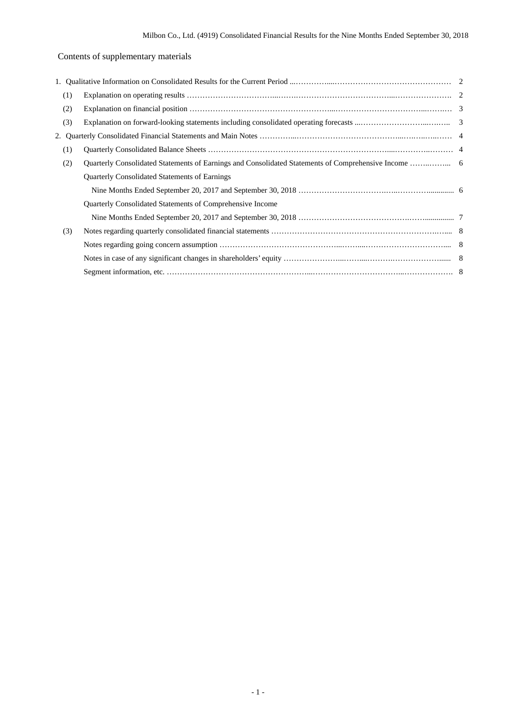## Contents of supplementary materials

| (1) |                                                           |  |
|-----|-----------------------------------------------------------|--|
| (2) |                                                           |  |
| (3) |                                                           |  |
| 2.  |                                                           |  |
| (1) |                                                           |  |
| (2) |                                                           |  |
|     | Quarterly Consolidated Statements of Earnings             |  |
|     |                                                           |  |
|     | Quarterly Consolidated Statements of Comprehensive Income |  |
|     |                                                           |  |
| (3) |                                                           |  |
|     |                                                           |  |
|     |                                                           |  |
|     |                                                           |  |
|     |                                                           |  |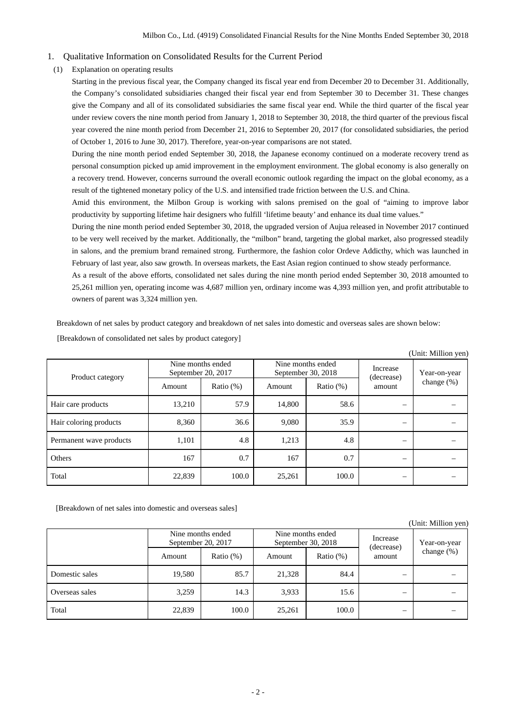- 1. Qualitative Information on Consolidated Results for the Current Period
- (1) Explanation on operating results

Starting in the previous fiscal year, the Company changed its fiscal year end from December 20 to December 31. Additionally, the Company's consolidated subsidiaries changed their fiscal year end from September 30 to December 31. These changes give the Company and all of its consolidated subsidiaries the same fiscal year end. While the third quarter of the fiscal year under review covers the nine month period from January 1, 2018 to September 30, 2018, the third quarter of the previous fiscal year covered the nine month period from December 21, 2016 to September 20, 2017 (for consolidated subsidiaries, the period of October 1, 2016 to June 30, 2017). Therefore, year-on-year comparisons are not stated.

During the nine month period ended September 30, 2018, the Japanese economy continued on a moderate recovery trend as personal consumption picked up amid improvement in the employment environment. The global economy is also generally on a recovery trend. However, concerns surround the overall economic outlook regarding the impact on the global economy, as a result of the tightened monetary policy of the U.S. and intensified trade friction between the U.S. and China.

Amid this environment, the Milbon Group is working with salons premised on the goal of "aiming to improve labor productivity by supporting lifetime hair designers who fulfill 'lifetime beauty' and enhance its dual time values."

During the nine month period ended September 30, 2018, the upgraded version of Aujua released in November 2017 continued to be very well received by the market. Additionally, the "milbon" brand, targeting the global market, also progressed steadily in salons, and the premium brand remained strong. Furthermore, the fashion color Ordeve Addicthy, which was launched in February of last year, also saw growth. In overseas markets, the East Asian region continued to show steady performance.

As a result of the above efforts, consolidated net sales during the nine month period ended September 30, 2018 amounted to 25,261 million yen, operating income was 4,687 million yen, ordinary income was 4,393 million yen, and profit attributable to owners of parent was 3,324 million yen.

Breakdown of net sales by product category and breakdown of net sales into domestic and overseas sales are shown below:

|                         |                                         |              |                    |                   |                                  | (Unit: Million yen)           |
|-------------------------|-----------------------------------------|--------------|--------------------|-------------------|----------------------------------|-------------------------------|
| Product category        | Nine months ended<br>September 20, 2017 |              | September 30, 2018 | Nine months ended | Increase<br>(decrease)<br>amount | Year-on-year<br>change $(\%)$ |
|                         | Amount                                  | Ratio $(\%)$ | Amount             | Ratio $(\%)$      |                                  |                               |
| Hair care products      | 13,210                                  | 57.9         | 14.800             | 58.6              |                                  |                               |
| Hair coloring products  | 8.360                                   | 36.6         | 9,080              | 35.9              | —                                |                               |
| Permanent wave products | 1,101                                   | 4.8          | 1,213              | 4.8               |                                  |                               |
| Others                  | 167                                     | 0.7          | 167                | 0.7               |                                  |                               |
| Total                   | 22,839                                  | 100.0        | 25,261             | 100.0             | –                                |                               |

[Breakdown of consolidated net sales by product category]

[Breakdown of net sales into domestic and overseas sales]

### (Unit: Million yen)

|                |        | Nine months ended<br>Nine months ended<br>September 20, 2017<br>September 30, 2018 |        | Increase<br>(decrease) | Year-on-year |            |
|----------------|--------|------------------------------------------------------------------------------------|--------|------------------------|--------------|------------|
|                | Amount | Ratio $(\%)$                                                                       | Amount | Ratio $(\%)$           | amount       | change (%) |
| Domestic sales | 19,580 | 85.7                                                                               | 21,328 | 84.4                   |              |            |
| Overseas sales | 3,259  | 14.3                                                                               | 3,933  | 15.6                   | –            |            |
| Total          | 22,839 | 100.0                                                                              | 25,261 | 100.0                  | –            |            |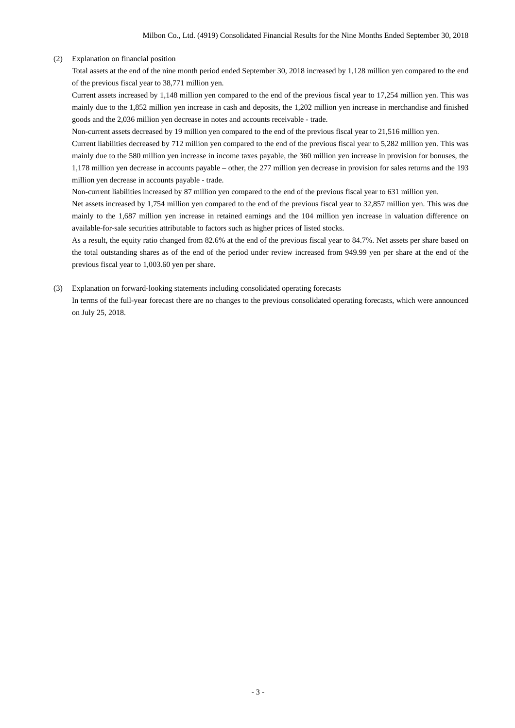### (2) Explanation on financial position

Total assets at the end of the nine month period ended September 30, 2018 increased by 1,128 million yen compared to the end of the previous fiscal year to 38,771 million yen.

Current assets increased by 1,148 million yen compared to the end of the previous fiscal year to 17,254 million yen. This was mainly due to the 1,852 million yen increase in cash and deposits, the 1,202 million yen increase in merchandise and finished goods and the 2,036 million yen decrease in notes and accounts receivable - trade.

Non-current assets decreased by 19 million yen compared to the end of the previous fiscal year to 21,516 million yen.

Current liabilities decreased by 712 million yen compared to the end of the previous fiscal year to 5,282 million yen. This was mainly due to the 580 million yen increase in income taxes payable, the 360 million yen increase in provision for bonuses, the 1,178 million yen decrease in accounts payable – other, the 277 million yen decrease in provision for sales returns and the 193 million yen decrease in accounts payable - trade.

Non-current liabilities increased by 87 million yen compared to the end of the previous fiscal year to 631 million yen.

Net assets increased by 1,754 million yen compared to the end of the previous fiscal year to 32,857 million yen. This was due mainly to the 1,687 million yen increase in retained earnings and the 104 million yen increase in valuation difference on available-for-sale securities attributable to factors such as higher prices of listed stocks.

As a result, the equity ratio changed from 82.6% at the end of the previous fiscal year to 84.7%. Net assets per share based on the total outstanding shares as of the end of the period under review increased from 949.99 yen per share at the end of the previous fiscal year to 1,003.60 yen per share.

(3) Explanation on forward-looking statements including consolidated operating forecasts In terms of the full-year forecast there are no changes to the previous consolidated operating forecasts, which were announced

on July 25, 2018.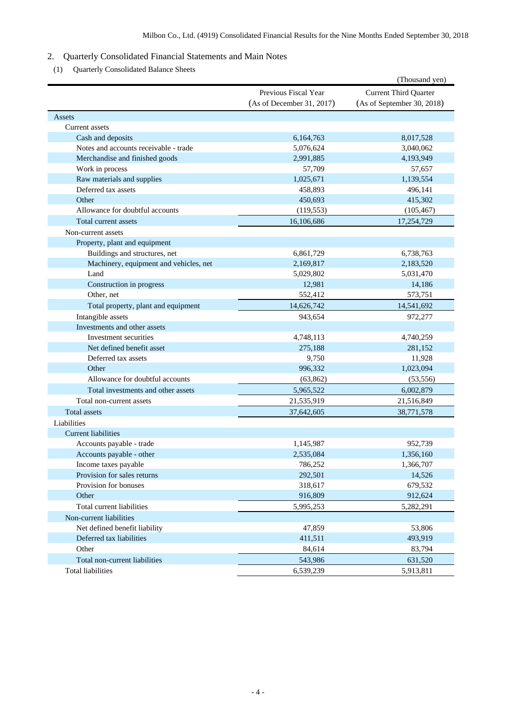### 2. Quarterly Consolidated Financial Statements and Main Notes

(1) Quarterly Consolidated Balance Sheets

|                                        |                                                   | (Thousand yen)                                             |
|----------------------------------------|---------------------------------------------------|------------------------------------------------------------|
|                                        | Previous Fiscal Year<br>(As of December 31, 2017) | <b>Current Third Quarter</b><br>(As of September 30, 2018) |
| Assets                                 |                                                   |                                                            |
| Current assets                         |                                                   |                                                            |
| Cash and deposits                      | 6,164,763                                         | 8,017,528                                                  |
| Notes and accounts receivable - trade  | 5,076,624                                         | 3,040,062                                                  |
| Merchandise and finished goods         | 2,991,885                                         | 4,193,949                                                  |
| Work in process                        | 57,709                                            | 57,657                                                     |
| Raw materials and supplies             | 1,025,671                                         | 1,139,554                                                  |
| Deferred tax assets                    | 458,893                                           | 496,141                                                    |
| Other                                  | 450,693                                           | 415,302                                                    |
| Allowance for doubtful accounts        | (119, 553)                                        | (105, 467)                                                 |
| Total current assets                   | 16,106,686                                        | 17,254,729                                                 |
| Non-current assets                     |                                                   |                                                            |
| Property, plant and equipment          |                                                   |                                                            |
| Buildings and structures, net          | 6,861,729                                         | 6,738,763                                                  |
| Machinery, equipment and vehicles, net | 2,169,817                                         | 2,183,520                                                  |
| Land                                   | 5,029,802                                         | 5,031,470                                                  |
| Construction in progress               | 12,981                                            | 14,186                                                     |
| Other, net                             | 552,412                                           | 573,751                                                    |
| Total property, plant and equipment    | 14,626,742                                        | 14,541,692                                                 |
| Intangible assets                      | 943,654                                           | 972,277                                                    |
| Investments and other assets           |                                                   |                                                            |
| Investment securities                  | 4,748,113                                         | 4,740,259                                                  |
| Net defined benefit asset              | 275,188                                           | 281,152                                                    |
| Deferred tax assets                    | 9,750                                             | 11,928                                                     |
| Other                                  | 996,332                                           | 1,023,094                                                  |
| Allowance for doubtful accounts        | (63, 862)                                         | (53, 556)                                                  |
| Total investments and other assets     | 5,965,522                                         | 6,002,879                                                  |
| Total non-current assets               | 21,535,919                                        | 21,516,849                                                 |
| <b>Total assets</b>                    | 37,642,605                                        | 38,771,578                                                 |
| Liabilities                            |                                                   |                                                            |
| <b>Current liabilities</b>             |                                                   |                                                            |
| Accounts payable - trade               | 1,145,987                                         | 952,739                                                    |
| Accounts payable - other               | 2,535,084                                         | 1,356,160                                                  |
| Income taxes payable                   | 786,252                                           | 1,366,707                                                  |
| Provision for sales returns            | 292,501                                           | 14,526                                                     |
| Provision for bonuses                  | 318,617                                           | 679,532                                                    |
| Other                                  | 916,809                                           | 912,624                                                    |
| Total current liabilities              | 5,995,253                                         | 5,282,291                                                  |
| Non-current liabilities                |                                                   |                                                            |
| Net defined benefit liability          | 47,859                                            | 53,806                                                     |
| Deferred tax liabilities               | 411,511                                           | 493,919                                                    |
| Other                                  | 84,614                                            | 83,794                                                     |
| Total non-current liabilities          | 543,986                                           | 631,520                                                    |
| <b>Total liabilities</b>               | 6,539,239                                         | 5,913,811                                                  |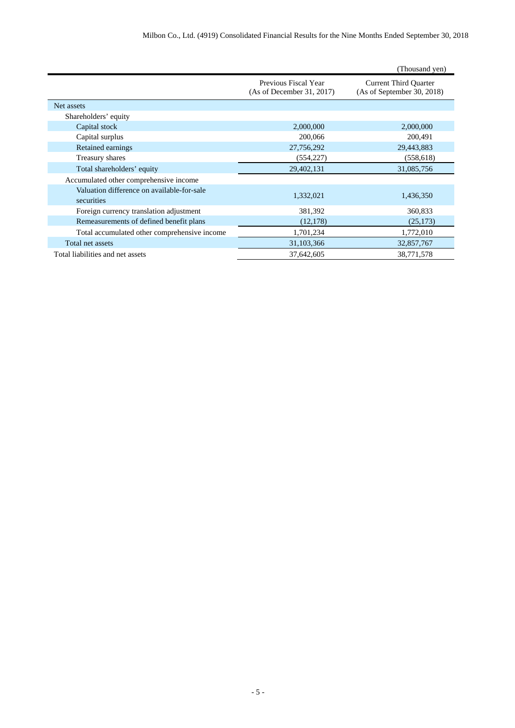|                                                          |                                                   | (Thousand yen)                                             |
|----------------------------------------------------------|---------------------------------------------------|------------------------------------------------------------|
|                                                          | Previous Fiscal Year<br>(As of December 31, 2017) | <b>Current Third Quarter</b><br>(As of September 30, 2018) |
| Net assets                                               |                                                   |                                                            |
| Shareholders' equity                                     |                                                   |                                                            |
| Capital stock                                            | 2,000,000                                         | 2,000,000                                                  |
| Capital surplus                                          | 200,066                                           | 200,491                                                    |
| Retained earnings                                        | 27,756,292                                        | 29,443,883                                                 |
| Treasury shares                                          | (554, 227)                                        | (558, 618)                                                 |
| Total shareholders' equity                               | 29,402,131                                        | 31,085,756                                                 |
| Accumulated other comprehensive income                   |                                                   |                                                            |
| Valuation difference on available-for-sale<br>securities | 1,332,021                                         | 1,436,350                                                  |
| Foreign currency translation adjustment                  | 381,392                                           | 360,833                                                    |
| Remeasurements of defined benefit plans                  | (12, 178)                                         | (25, 173)                                                  |
| Total accumulated other comprehensive income             | 1,701,234                                         | 1,772,010                                                  |
| Total net assets                                         | 31,103,366                                        | 32,857,767                                                 |
| Total liabilities and net assets                         | 37,642,605                                        | 38,771,578                                                 |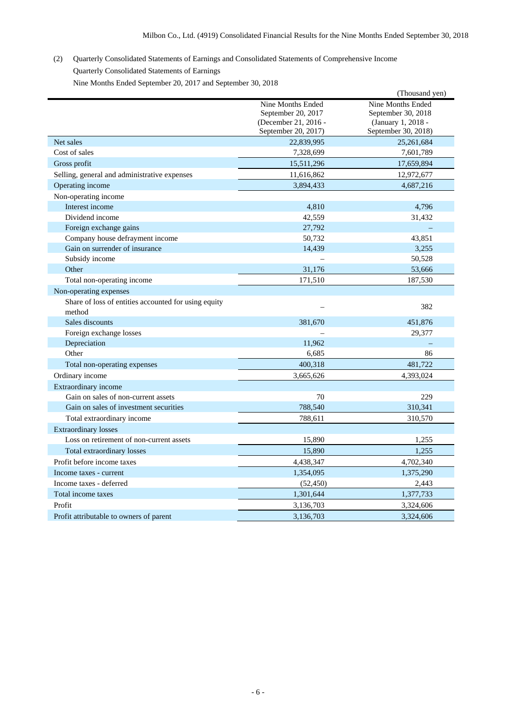# (2) Quarterly Consolidated Statements of Earnings and Consolidated Statements of Comprehensive Income Quarterly Consolidated Statements of Earnings

Nine Months Ended September 20, 2017 and September 30, 2018

|                                                      |                      | (Thousand yen)      |
|------------------------------------------------------|----------------------|---------------------|
|                                                      | Nine Months Ended    | Nine Months Ended   |
|                                                      | September 20, 2017   | September 30, 2018  |
|                                                      | (December 21, 2016 - | (January 1, 2018 -  |
|                                                      | September 20, 2017)  | September 30, 2018) |
| Net sales                                            | 22,839,995           | 25,261,684          |
| Cost of sales                                        | 7,328,699            | 7,601,789           |
| Gross profit                                         | 15,511,296           | 17,659,894          |
| Selling, general and administrative expenses         | 11,616,862           | 12,972,677          |
| Operating income                                     | 3,894,433            | 4,687,216           |
| Non-operating income                                 |                      |                     |
| Interest income                                      | 4,810                | 4,796               |
| Dividend income                                      | 42,559               | 31,432              |
| Foreign exchange gains                               | 27,792               |                     |
| Company house defrayment income                      | 50,732               | 43,851              |
| Gain on surrender of insurance                       | 14,439               | 3,255               |
| Subsidy income                                       |                      | 50,528              |
| Other                                                | 31,176               | 53,666              |
| Total non-operating income                           | 171,510              | 187,530             |
| Non-operating expenses                               |                      |                     |
| Share of loss of entities accounted for using equity |                      |                     |
| method                                               |                      | 382                 |
| Sales discounts                                      | 381,670              | 451,876             |
| Foreign exchange losses                              |                      | 29,377              |
| Depreciation                                         | 11,962               |                     |
| Other                                                | 6,685                | 86                  |
| Total non-operating expenses                         | 400,318              | 481,722             |
| Ordinary income                                      | 3,665,626            | 4,393,024           |
| Extraordinary income                                 |                      |                     |
| Gain on sales of non-current assets                  | 70                   | 229                 |
| Gain on sales of investment securities               | 788,540              | 310,341             |
| Total extraordinary income                           | 788,611              | 310,570             |
| <b>Extraordinary losses</b>                          |                      |                     |
| Loss on retirement of non-current assets             | 15,890               | 1,255               |
| Total extraordinary losses                           | 15,890               | 1,255               |
| Profit before income taxes                           | 4,438,347            | 4,702,340           |
| Income taxes - current                               | 1,354,095            | 1,375,290           |
| Income taxes - deferred                              | (52, 450)            | 2,443               |
| Total income taxes                                   | 1,301,644            | 1,377,733           |
| Profit                                               | 3,136,703            | 3,324,606           |
| Profit attributable to owners of parent              | 3,136,703            | 3,324,606           |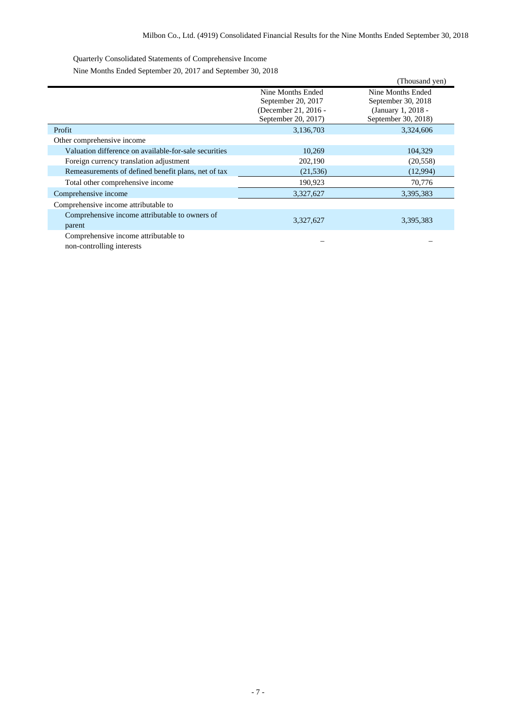Quarterly Consolidated Statements of Comprehensive Income

Nine Months Ended September 20, 2017 and September 30, 2018

|                                                          |                                                                                        | (Thousand yen)                                                                       |
|----------------------------------------------------------|----------------------------------------------------------------------------------------|--------------------------------------------------------------------------------------|
|                                                          | Nine Months Ended<br>September 20, 2017<br>(December 21, 2016 -<br>September 20, 2017) | Nine Months Ended<br>September 30, 2018<br>(January 1, 2018 -<br>September 30, 2018) |
| Profit                                                   | 3,136,703                                                                              | 3,324,606                                                                            |
| Other comprehensive income                               |                                                                                        |                                                                                      |
| Valuation difference on available-for-sale securities    | 10,269                                                                                 | 104,329                                                                              |
| Foreign currency translation adjustment                  | 202,190                                                                                | (20, 558)                                                                            |
| Remeasurements of defined benefit plans, net of tax      | (21, 536)                                                                              | (12,994)                                                                             |
| Total other comprehensive income                         | 190,923                                                                                | 70,776                                                                               |
| Comprehensive income                                     | 3,327,627                                                                              | 3,395,383                                                                            |
| Comprehensive income attributable to                     |                                                                                        |                                                                                      |
| Comprehensive income attributable to owners of<br>parent | 3,327,627                                                                              | 3,395,383                                                                            |
| Comprehensive income attributable to                     |                                                                                        |                                                                                      |

non-controlling interests – –